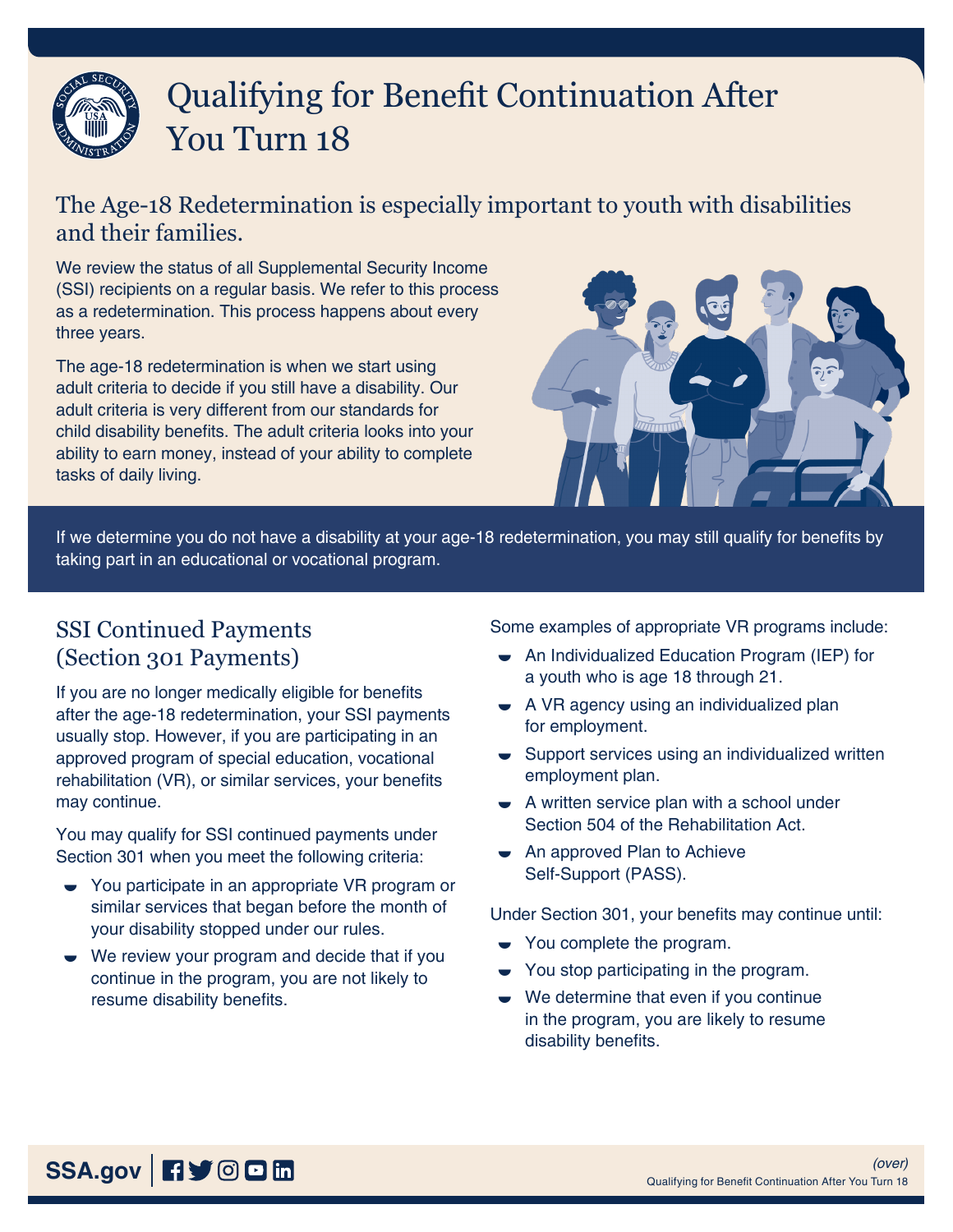# Qualifying for Benefit Continuation After You Turn 18

### The Age-18 Redetermination is especially important to youth with disabilities and their families.

We review the status of all Supplemental Security Income (SSI) recipients on a regular basis. We refer to this process as a redetermination. This process happens about every three years.

The age-18 redetermination is when we start using adult criteria to decide if you still have a disability. Our adult criteria is very different from our standards for child disability benefits. The adult criteria looks into your ability to earn money, instead of your ability to complete tasks of daily living.



If we determine you do not have a disability at your age-18 redetermination, you may still qualify for benefits by taking part in an educational or vocational program.

#### SSI Continued Payments (Section 301 Payments)

If you are no longer medically eligible for benefits after the age-18 redetermination, your SSI payments usually stop. However, if you are participating in an approved program of special education, vocational rehabilitation (VR), or similar services, your benefits may continue.

You may qualify for SSI continued payments under Section 301 when you meet the following criteria:

- **►** You participate in an appropriate VR program or similar services that began before the month of your disability stopped under our rules.
- We review your program and decide that if you continue in the program, you are not likely to resume disability benefits.

Some examples of appropriate VR programs include:

- An Individualized Education Program (IEP) for a youth who is age 18 through 21.
- A VR agency using an individualized plan for employment.
- Support services using an individualized written employment plan.
- $\bullet$  A written service plan with a school under Section 504 of the Rehabilitation Act.
- An approved Plan to Achieve Self-Support (PASS).

Under Section 301, your benefits may continue until:

- $\bullet$  You complete the program.
- $\bullet$  You stop participating in the program.
- We determine that even if you continue in the program, you are likely to resume disability benefits.